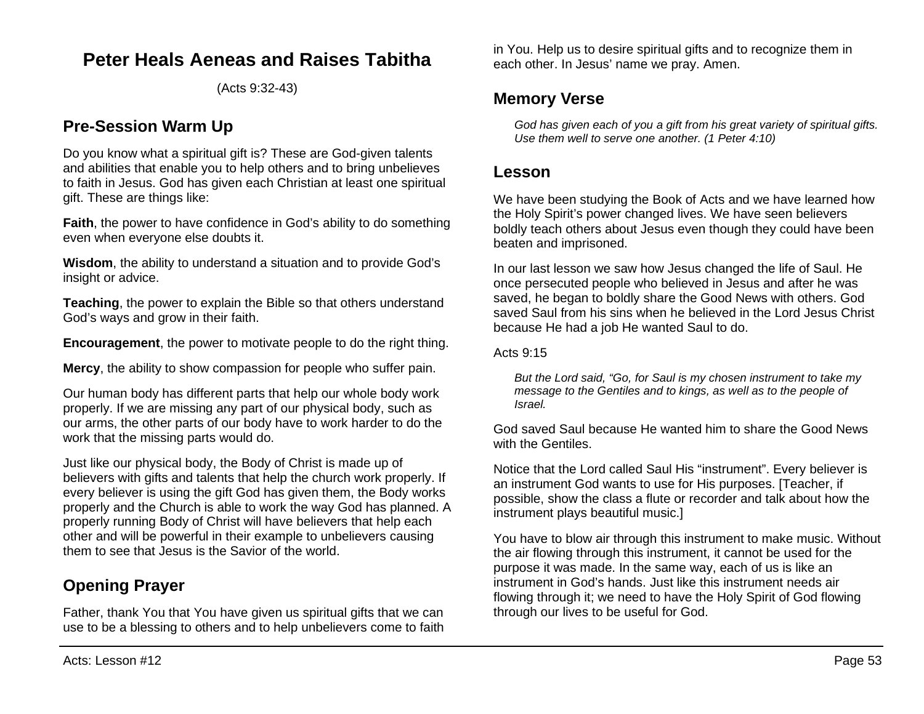## **Peter Heals Aeneas and Raises Tabitha**

(Acts 9:32-43)

## **Pre-Session Warm Up**

Do you know what a spiritual gift is? These are God-given talents and abilities that enable you to help others and to bring unbelieves to faith in Jesus. God has given each Christian at least one spiritual gift. These are things like:

**Faith**, the power to have confidence in God's ability to do something even when everyone else doubts it.

**Wisdom**, the ability to understand a situation and to provide God's insight or advice.

**Teaching**, the power to explain the Bible so that others understand God's ways and grow in their faith.

**Encouragement**, the power to motivate people to do the right thing.

**Mercy**, the ability to show compassion for people who suffer pain.

Our human body has different parts that help our whole body work properly. If we are missing any part of our physical body, such as our arms, the other parts of our body have to work harder to do the work that the missing parts would do.

Just like our physical body, the Body of Christ is made up of believers with gifts and talents that help the church work properly. If every believer is using the gift God has given them, the Body works properly and the Church is able to work the way God has planned. A properly running Body of Christ will have believers that help each other and will be powerful in their example to unbelievers causing them to see that Jesus is the Savior of the world.

## **Opening Prayer**

Father, thank You that You have given us spiritual gifts that we can use to be a blessing to others and to help unbelievers come to faith in You. Help us to desire spiritual gifts and to recognize them in each other. In Jesus' name we pray. Amen.

## **Memory Verse**

*God has given each of you a gift from his great variety of spiritual gifts. Use them well to serve one another. (1 Peter 4:10)*

### **Lesson**

We have been studying the Book of Acts and we have learned how the Holy Spirit's power changed lives. We have seen believers boldly teach others about Jesus even though they could have been beaten and imprisoned.

In our last lesson we saw how Jesus changed the life of Saul. He once persecuted people who believed in Jesus and after he was saved, he began to boldly share the Good News with others. God saved Saul from his sins when he believed in the Lord Jesus Christ because He had a job He wanted Saul to do.

#### Acts 9:15

*But the Lord said, "Go, for Saul is my chosen instrument to take my message to the Gentiles and to kings, as well as to the people of Israel.*

God saved Saul because He wanted him to share the Good News with the Gentiles.

Notice that the Lord called Saul His "instrument". Every believer is an instrument God wants to use for His purposes. [Teacher, if possible, show the class a flute or recorder and talk about how the instrument plays beautiful music.]

You have to blow air through this instrument to make music. Without the air flowing through this instrument, it cannot be used for the purpose it was made. In the same way, each of us is like an instrument in God's hands. Just like this instrument needs air flowing through it; we need to have the Holy Spirit of God flowing through our lives to be useful for God.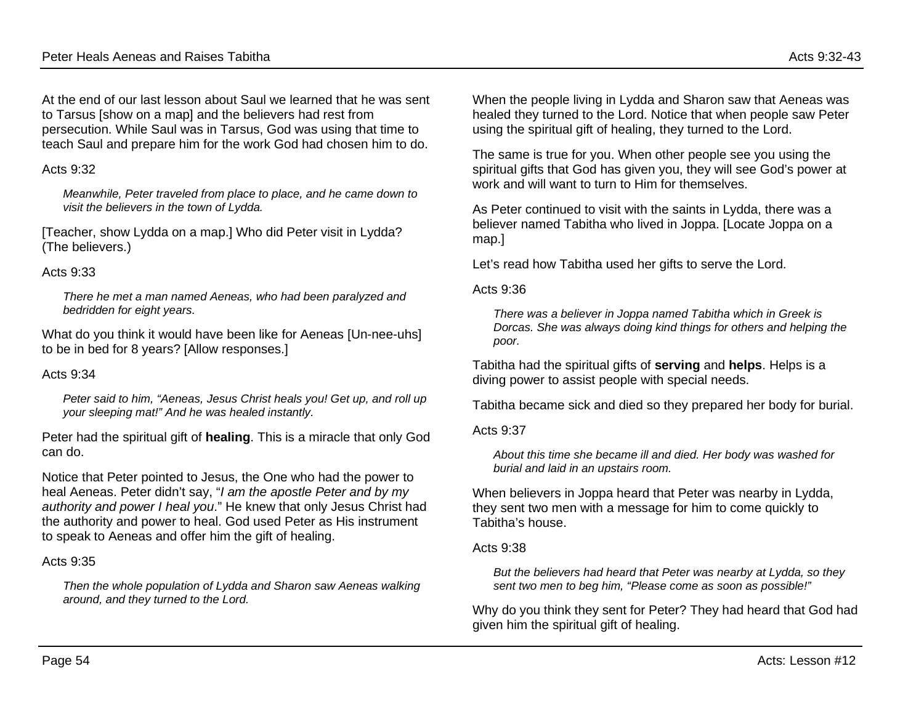At the end of our last lesson about Saul we learned that he was sent to Tarsus [show on a map] and the believers had rest from persecution. While Saul was in Tarsus, God was using that time to teach Saul and prepare him for the work God had chosen him to do.

#### Acts 9:32

*Meanwhile, Peter traveled from place to place, and he came down to visit the believers in the town of Lydda.*

[Teacher, show Lydda on a map.] Who did Peter visit in Lydda? (The believers.)

#### Acts 9:33

*There he met a man named Aeneas, who had been paralyzed and bedridden for eight years.*

What do you think it would have been like for Aeneas [Un-nee-uhs] to be in bed for 8 years? [Allow responses.]

#### Acts  $9.34$

*Peter said to him, "Aeneas, Jesus Christ heals you! Get up, and roll up your sleeping mat!" And he was healed instantly.*

Peter had the spiritual gift of **healing**. This is a miracle that only God can do.

Notice that Peter pointed to Jesus, the One who had the power to heal Aeneas. Peter didn't say, "*I am the apostle Peter and by my authority and power I heal you*." He knew that only Jesus Christ had the authority and power to heal. God used Peter as His instrument to speak to Aeneas and offer him the gift of healing.

#### Acts 9:35

*Then the whole population of Lydda and Sharon saw Aeneas walking around, and they turned to the Lord.*

When the people living in Lydda and Sharon saw that Aeneas was healed they turned to the Lord. Notice that when people saw Peter using the spiritual gift of healing, they turned to the Lord.

The same is true for you. When other people see you using the spiritual gifts that God has given you, they will see God's power at work and will want to turn to Him for themselves.

As Peter continued to visit with the saints in Lydda, there was a believer named Tabitha who lived in Joppa. [Locate Joppa on a map.]

Let's read how Tabitha used her gifts to serve the Lord.

#### Acts 9:36

*There was a believer in Joppa named Tabitha which in Greek is Dorcas. She was always doing kind things for others and helping the poor.*

Tabitha had the spiritual gifts of **serving** and **helps**. Helps is a diving power to assist people with special needs.

Tabitha became sick and died so they prepared her body for burial.

Acts 9:37

*About this time she became ill and died. Her body was washed for burial and laid in an upstairs room.*

When believers in Joppa heard that Peter was nearby in Lydda, they sent two men with a message for him to come quickly to Tabitha's house.

#### Acts 9:38

*But the believers had heard that Peter was nearby at Lydda, so they sent two men to beg him, "Please come as soon as possible!"*

Why do you think they sent for Peter? They had heard that God had given him the spiritual gift of healing.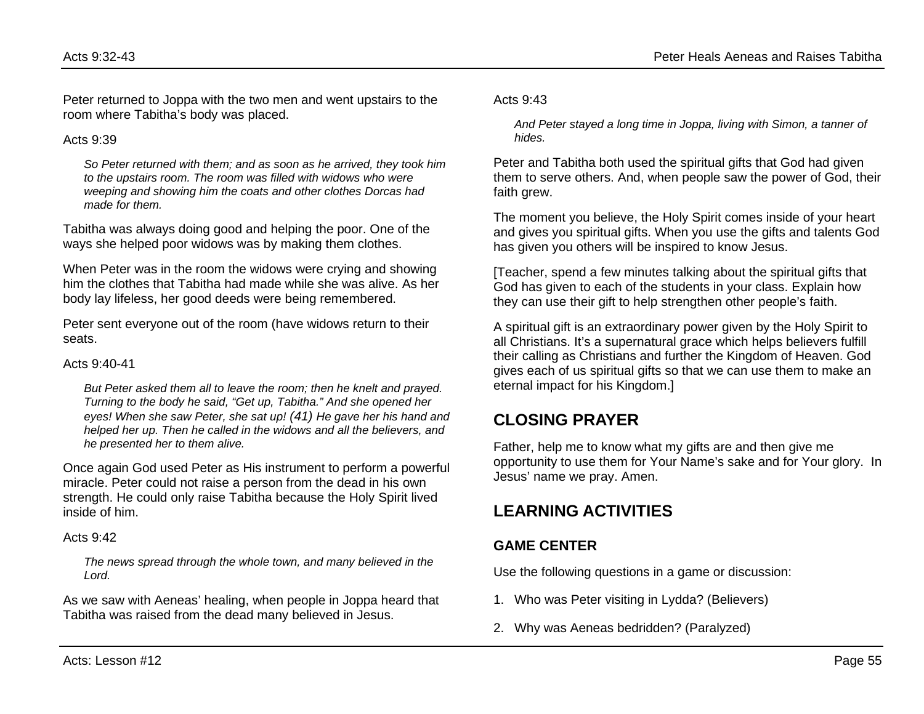Peter returned to Joppa with the two men and went upstairs to the room where Tabitha's body was placed.

Acts  $9.39$ 

*So Peter returned with them; and as soon as he arrived, they took him to the upstairs room. The room was filled with widows who were weeping and showing him the coats and other clothes Dorcas had made for them.*

Tabitha was always doing good and helping the poor. One of the ways she helped poor widows was by making them clothes.

When Peter was in the room the widows were crying and showing him the clothes that Tabitha had made while she was alive. As her body lay lifeless, her good deeds were being remembered.

Peter sent everyone out of the room (have widows return to their seats.

Acts 9:40-41

*But Peter asked them all to leave the room; then he knelt and prayed. Turning to the body he said, "Get up, Tabitha." And she opened her eyes! When she saw Peter, she sat up! (41) He gave her his hand and helped her up. Then he called in the widows and all the believers, and he presented her to them alive.*

Once again God used Peter as His instrument to perform a powerful miracle. Peter could not raise a person from the dead in his own strength. He could only raise Tabitha because the Holy Spirit lived inside of him.

Acts 9:42

*The news spread through the whole town, and many believed in the Lord.*

As we saw with Aeneas' healing, when people in Joppa heard that Tabitha was raised from the dead many believed in Jesus.

Acts 9:43

*And Peter stayed a long time in Joppa, living with Simon, a tanner of hides.*

Peter and Tabitha both used the spiritual gifts that God had given them to serve others. And, when people saw the power of God, their faith grew.

The moment you believe, the Holy Spirit comes inside of your heart and gives you spiritual gifts. When you use the gifts and talents God has given you others will be inspired to know Jesus.

[Teacher, spend a few minutes talking about the spiritual gifts that God has given to each of the students in your class. Explain how they can use their gift to help strengthen other people's faith.

A spiritual gift is an extraordinary power given by the Holy Spirit to all Christians. It's a supernatural grace which helps believers fulfill their calling as Christians and further the Kingdom of Heaven. God gives each of us spiritual gifts so that we can use them to make an eternal impact for his Kingdom.]

# **CLOSING PRAYER**

Father, help me to know what my gifts are and then give me opportunity to use them for Your Name's sake and for Your glory. In Jesus' name we pray. Amen.

# **LEARNING ACTIVITIES**

### **GAME CENTER**

Use the following questions in a game or discussion:

- 1. Who was Peter visiting in Lydda? (Believers)
- 2. Why was Aeneas bedridden? (Paralyzed)